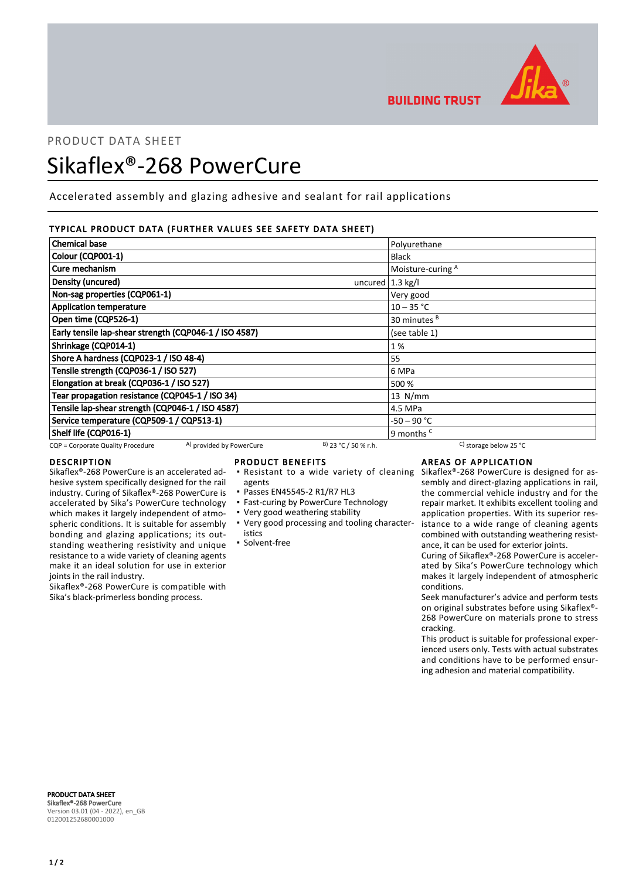

**BUILDING TRUST** 

# PRODUCT DATA SHEET

# Sikaflex®-268 PowerCure

Accelerated assembly and glazing adhesive and sealant for rail applications

# TYPICAL PRODUCT DATA (FURTHER VALUES SEE SAFETY DATA SHEET)

| <b>Chemical base</b>                                          |                        | Polyurethane                                 |  |
|---------------------------------------------------------------|------------------------|----------------------------------------------|--|
| Colour (CQP001-1)                                             |                        | <b>Black</b>                                 |  |
| Cure mechanism                                                |                        | Moisture-curing A                            |  |
| Density (uncured)                                             | uncured $1.3$ kg/l     |                                              |  |
| Non-sag properties (CQP061-1)                                 |                        | Very good                                    |  |
| <b>Application temperature</b>                                |                        | $10 - 35 °C$                                 |  |
| Open time (CQP526-1)                                          |                        | 30 minutes <sup>B</sup>                      |  |
| Early tensile lap-shear strength (CQP046-1 / ISO 4587)        |                        | (see table 1)                                |  |
| Shrinkage (CQP014-1)                                          |                        | 1%                                           |  |
| Shore A hardness (CQP023-1 / ISO 48-4)                        |                        | 55                                           |  |
| Tensile strength (CQP036-1 / ISO 527)                         |                        | 6 MPa                                        |  |
| Elongation at break (CQP036-1 / ISO 527)                      |                        | 500 %                                        |  |
| Tear propagation resistance (CQP045-1 / ISO 34)               |                        | $13$ N/mm                                    |  |
| Tensile lap-shear strength (CQP046-1 / ISO 4587)              |                        | 4.5 MPa                                      |  |
| Service temperature (CQP509-1 / CQP513-1)                     |                        | -50 – 90 °C                                  |  |
| Shelf life (CQP016-1)                                         |                        | 9 months <sup>c</sup>                        |  |
| A) provided by PowerCure<br>CQP = Corporate Quality Procedure | $B)$ 23 °C / 50 % r.h. | <sup>C</sup> ) storage below 25 $^{\circ}$ C |  |

### DESCRIPTION

Sikaflex®-268 PowerCure is an accelerated adhesive system specifically designed for the rail industry. Curing of Sikaflex®-268 PowerCure is accelerated by Sika's PowerCure technology which makes it largely independent of atmospheric conditions. It is suitable for assembly bonding and glazing applications; its outstanding weathering resistivity and unique resistance to a wide variety of cleaning agents make it an ideal solution for use in exterior joints in the rail industry.

Sikaflex®-268 PowerCure is compatible with Sika's black-primerless bonding process.

### PRODUCT BENEFITS

- **Resistant to a wide variety of cleaning**
- agents
- Passes EN45545-2 R1/R7 HL3
- **East-curing by PowerCure Technology**
- Very good weathering stability
- Very good processing and tooling character-▪ istics
- Solvent-free

# AREAS OF APPLICATION

Sikaflex®-268 PowerCure is designed for assembly and direct-glazing applications in rail, the commercial vehicle industry and for the repair market. It exhibits excellent tooling and application properties. With its superior resistance to a wide range of cleaning agents combined with outstanding weathering resistance, it can be used for exterior joints.

Curing of Sikaflex®-268 PowerCure is accelerated by Sika's PowerCure technology which makes it largely independent of atmospheric conditions.

Seek manufacturer's advice and perform tests on original substrates before using Sikaflex®- 268 PowerCure on materials prone to stress cracking.

This product is suitable for professional experienced users only. Tests with actual substrates and conditions have to be performed ensuring adhesion and material compatibility.

PRODUCT DATA SHEET Sikaflex®-268 PowerCure Version 03.01 (04 - 2022), en\_GB 012001252680001000